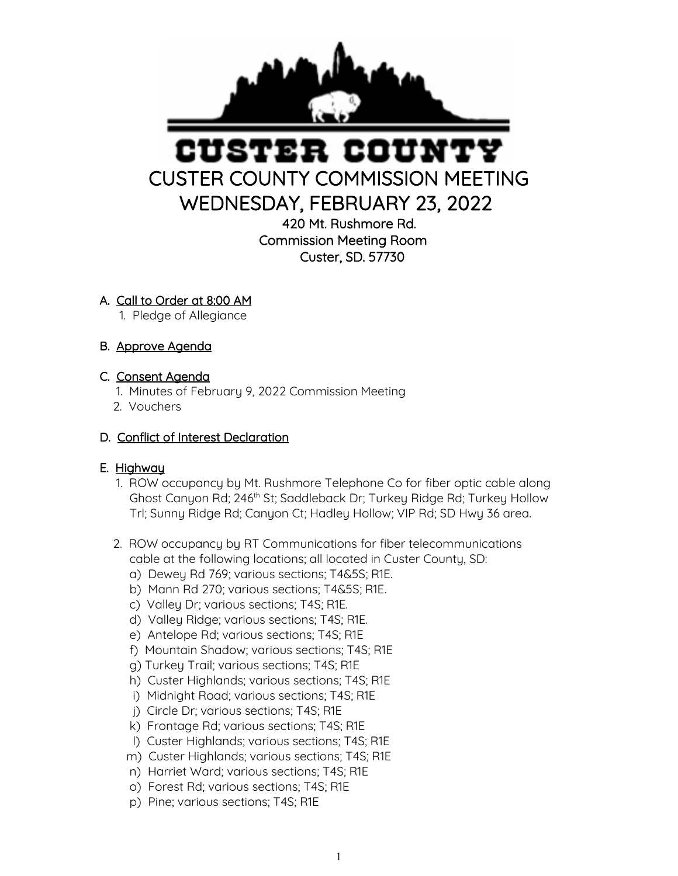

# STER COUN CUSTER COUNTY COMMISSION MEETING WEDNESDAY, FEBRUARY 23, 2022

420 Mt. Rushmore Rd. Commission Meeting Room Custer, SD. 57730

## A. Call to Order at 8:00 AM

1. Pledge of Allegiance

# B. Approve Agenda

## C. Consent Agenda

- 1. Minutes of February 9, 2022 Commission Meeting
- 2. Vouchers

## D. Conflict of Interest Declaration

#### E. Highway

- 1. ROW occupancy by Mt. Rushmore Telephone Co for fiber optic cable along Ghost Canyon Rd; 246<sup>th</sup> St; Saddleback Dr; Turkey Ridge Rd; Turkey Hollow Trl; Sunny Ridge Rd; Canyon Ct; Hadley Hollow; VIP Rd; SD Hwy 36 area.
- 2. ROW occupancy by RT Communications for fiber telecommunications cable at the following locations; all located in Custer County, SD:
	- a) Dewey Rd 769; various sections; T4&5S; R1E.
	- b) Mann Rd 270; various sections; T4&5S; R1E.
	- c) Valley Dr; various sections; T4S; R1E.
	- d) Valley Ridge; various sections; T4S; R1E.
	- e) Antelope Rd; various sections; T4S; R1E
	- f) Mountain Shadow; various sections; T4S; R1E
	- g) Turkey Trail; various sections; T4S; R1E
	- h) Custer Highlands; various sections; T4S; R1E
	- i) Midnight Road; various sections; T4S; R1E
	- j) Circle Dr; various sections; T4S; R1E
	- k) Frontage Rd; various sections; T4S; R1E
	- l) Custer Highlands; various sections; T4S; R1E
	- m) Custer Highlands; various sections; T4S; R1E
	- n) Harriet Ward; various sections; T4S; R1E
	- o) Forest Rd; various sections; T4S; R1E
	- p) Pine; various sections; T4S; R1E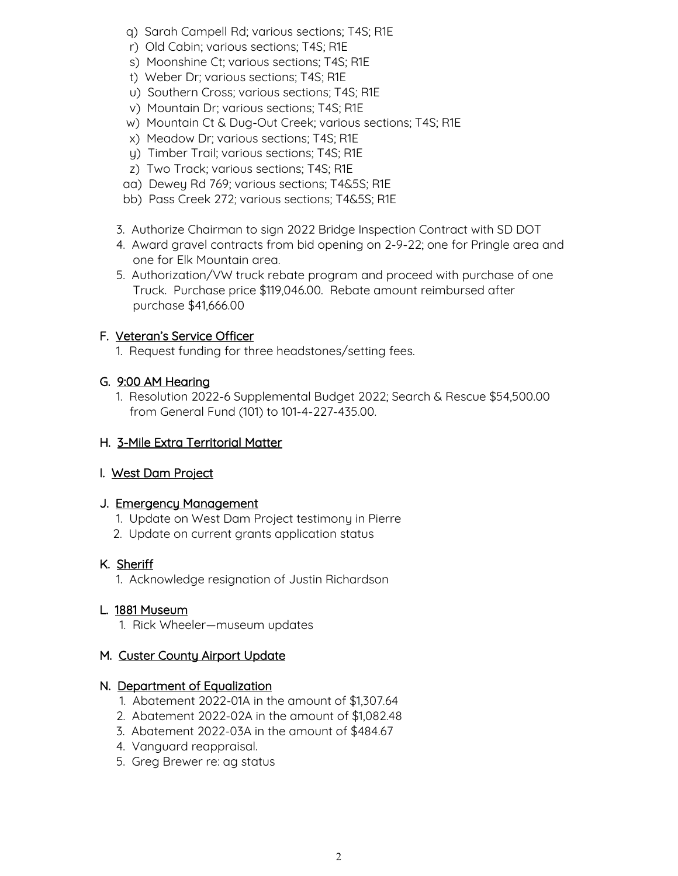- q) Sarah Campell Rd; various sections; T4S; R1E
- r) Old Cabin; various sections; T4S; R1E
- s) Moonshine Ct; various sections; T4S; R1E
- t) Weber Dr; various sections; T4S; R1E
- u) Southern Cross; various sections; T4S; R1E
- v) Mountain Dr; various sections; T4S; R1E
- w) Mountain Ct & Dug-Out Creek; various sections; T4S; R1E
- x) Meadow Dr; various sections; T4S; R1E
- y) Timber Trail; various sections; T4S; R1E
- z) Two Track; various sections; T4S; R1E
- aa) Dewey Rd 769; various sections; T4&5S; R1E
- bb) Pass Creek 272; various sections; T4&5S; R1E
- 3. Authorize Chairman to sign 2022 Bridge Inspection Contract with SD DOT
- 4. Award gravel contracts from bid opening on 2-9-22; one for Pringle area and one for Elk Mountain area.
- 5. Authorization/VW truck rebate program and proceed with purchase of one Truck. Purchase price \$119,046.00. Rebate amount reimbursed after purchase \$41,666.00

# F. Veteran's Service Officer

1. Request funding for three headstones/setting fees.

# G. 9:00 AM Hearing

 1. Resolution 2022-6 Supplemental Budget 2022; Search & Rescue \$54,500.00 from General Fund (101) to 101-4-227-435.00.

# H. 3-Mile Extra Territorial Matter

#### I. West Dam Project

#### J. Emergency Management

- 1. Update on West Dam Project testimony in Pierre
- 2. Update on current grants application status

# K. Sheriff

1. Acknowledge resignation of Justin Richardson

#### L. 1881 Museum

1. Rick Wheeler—museum updates

# M. Custer County Airport Update

#### N. Department of Equalization

- 1. Abatement 2022-01A in the amount of \$1,307.64
- 2. Abatement 2022-02A in the amount of \$1,082.48
- 3. Abatement 2022-03A in the amount of \$484.67
- 4. Vanguard reappraisal.
- 5. Greg Brewer re: ag status